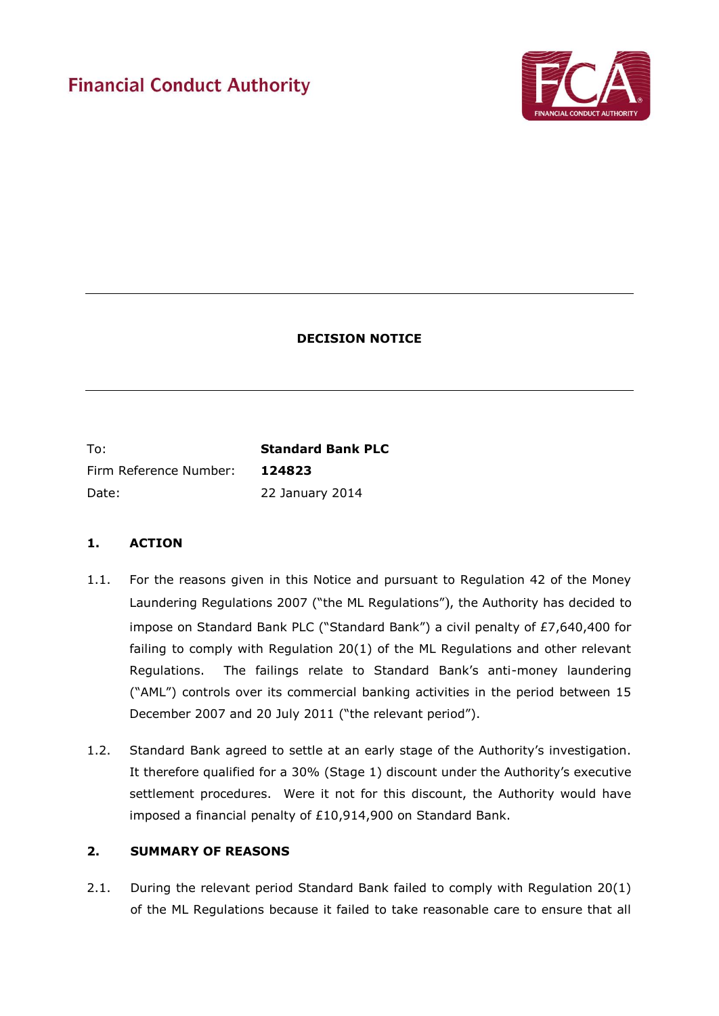# **Financial Conduct Authority**



# **DECISION NOTICE**

To: **Standard Bank PLC** Firm Reference Number: **124823**  Date: 22 January 2014

# **1. ACTION**

- 1.1. For the reasons given in this Notice and pursuant to Regulation 42 of the Money Laundering Regulations 2007 ("the ML Regulations"), the Authority has decided to impose on Standard Bank PLC ("Standard Bank") a civil penalty of £7,640,400 for failing to comply with Regulation 20(1) of the ML Regulations and other relevant Regulations. The failings relate to Standard Bank's anti-money laundering ("AML") controls over its commercial banking activities in the period between 15 December 2007 and 20 July 2011 ("the relevant period").
- 1.2. Standard Bank agreed to settle at an early stage of the Authority's investigation. It therefore qualified for a 30% (Stage 1) discount under the Authority's executive settlement procedures. Were it not for this discount, the Authority would have imposed a financial penalty of £10,914,900 on Standard Bank.

# **2. SUMMARY OF REASONS**

2.1. During the relevant period Standard Bank failed to comply with Regulation 20(1) of the ML Regulations because it failed to take reasonable care to ensure that all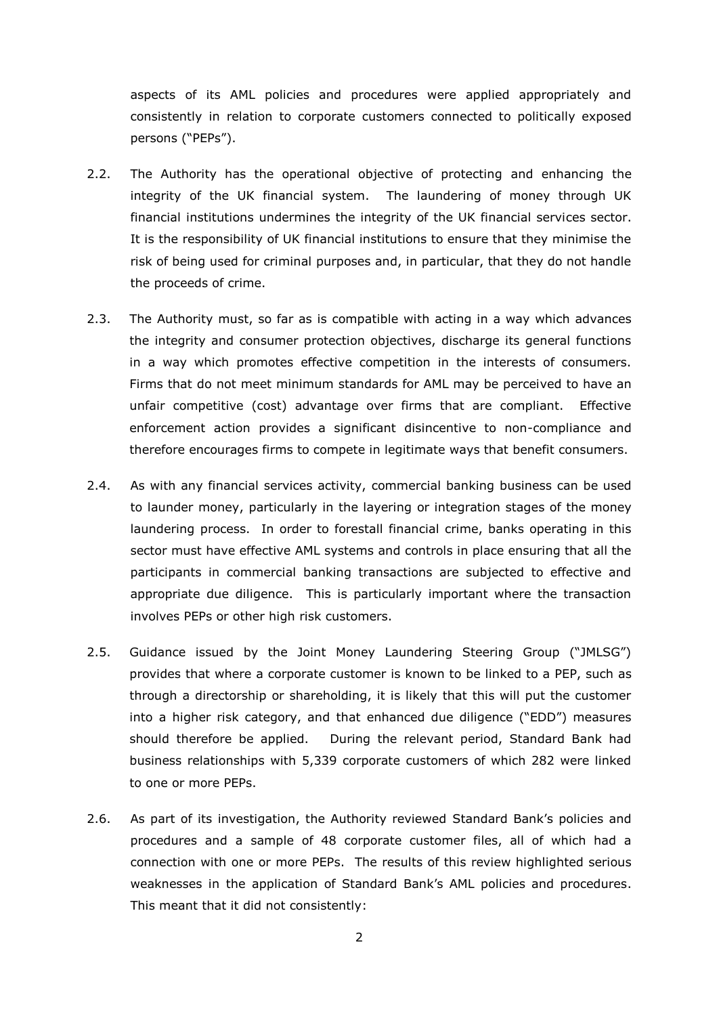aspects of its AML policies and procedures were applied appropriately and consistently in relation to corporate customers connected to politically exposed persons ("PEPs").

- 2.2. The Authority has the operational objective of protecting and enhancing the integrity of the UK financial system. The laundering of money through UK financial institutions undermines the integrity of the UK financial services sector. It is the responsibility of UK financial institutions to ensure that they minimise the risk of being used for criminal purposes and, in particular, that they do not handle the proceeds of crime.
- 2.3. The Authority must, so far as is compatible with acting in a way which advances the integrity and consumer protection objectives, discharge its general functions in a way which promotes effective competition in the interests of consumers. Firms that do not meet minimum standards for AML may be perceived to have an unfair competitive (cost) advantage over firms that are compliant. Effective enforcement action provides a significant disincentive to non-compliance and therefore encourages firms to compete in legitimate ways that benefit consumers.
- 2.4. As with any financial services activity, commercial banking business can be used to launder money, particularly in the layering or integration stages of the money laundering process. In order to forestall financial crime, banks operating in this sector must have effective AML systems and controls in place ensuring that all the participants in commercial banking transactions are subjected to effective and appropriate due diligence. This is particularly important where the transaction involves PEPs or other high risk customers.
- 2.5. Guidance issued by the Joint Money Laundering Steering Group ("JMLSG") provides that where a corporate customer is known to be linked to a PEP, such as through a directorship or shareholding, it is likely that this will put the customer into a higher risk category, and that enhanced due diligence ("EDD") measures should therefore be applied. During the relevant period, Standard Bank had business relationships with 5,339 corporate customers of which 282 were linked to one or more PEPs.
- 2.6. As part of its investigation, the Authority reviewed Standard Bank's policies and procedures and a sample of 48 corporate customer files, all of which had a connection with one or more PEPs. The results of this review highlighted serious weaknesses in the application of Standard Bank's AML policies and procedures. This meant that it did not consistently: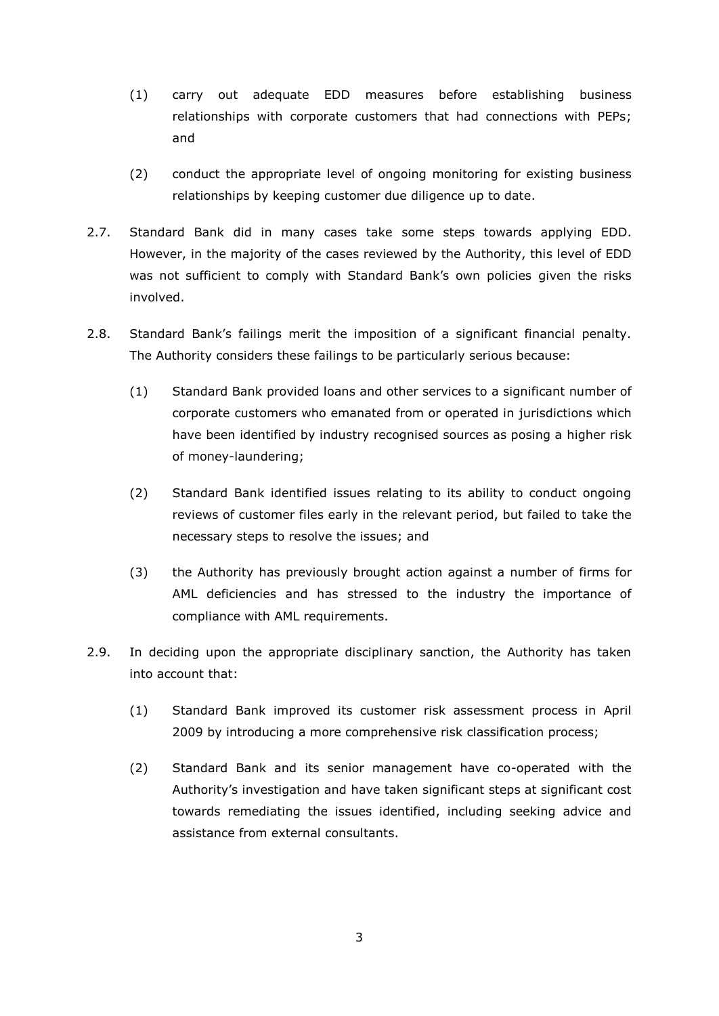- (1) carry out adequate EDD measures before establishing business relationships with corporate customers that had connections with PEPs; and
- (2) conduct the appropriate level of ongoing monitoring for existing business relationships by keeping customer due diligence up to date.
- 2.7. Standard Bank did in many cases take some steps towards applying EDD. However, in the majority of the cases reviewed by the Authority, this level of EDD was not sufficient to comply with Standard Bank's own policies given the risks involved.
- 2.8. Standard Bank's failings merit the imposition of a significant financial penalty. The Authority considers these failings to be particularly serious because:
	- (1) Standard Bank provided loans and other services to a significant number of corporate customers who emanated from or operated in jurisdictions which have been identified by industry recognised sources as posing a higher risk of money-laundering;
	- (2) Standard Bank identified issues relating to its ability to conduct ongoing reviews of customer files early in the relevant period, but failed to take the necessary steps to resolve the issues; and
	- (3) the Authority has previously brought action against a number of firms for AML deficiencies and has stressed to the industry the importance of compliance with AML requirements.
- 2.9. In deciding upon the appropriate disciplinary sanction, the Authority has taken into account that:
	- (1) Standard Bank improved its customer risk assessment process in April 2009 by introducing a more comprehensive risk classification process;
	- (2) Standard Bank and its senior management have co-operated with the Authority's investigation and have taken significant steps at significant cost towards remediating the issues identified, including seeking advice and assistance from external consultants.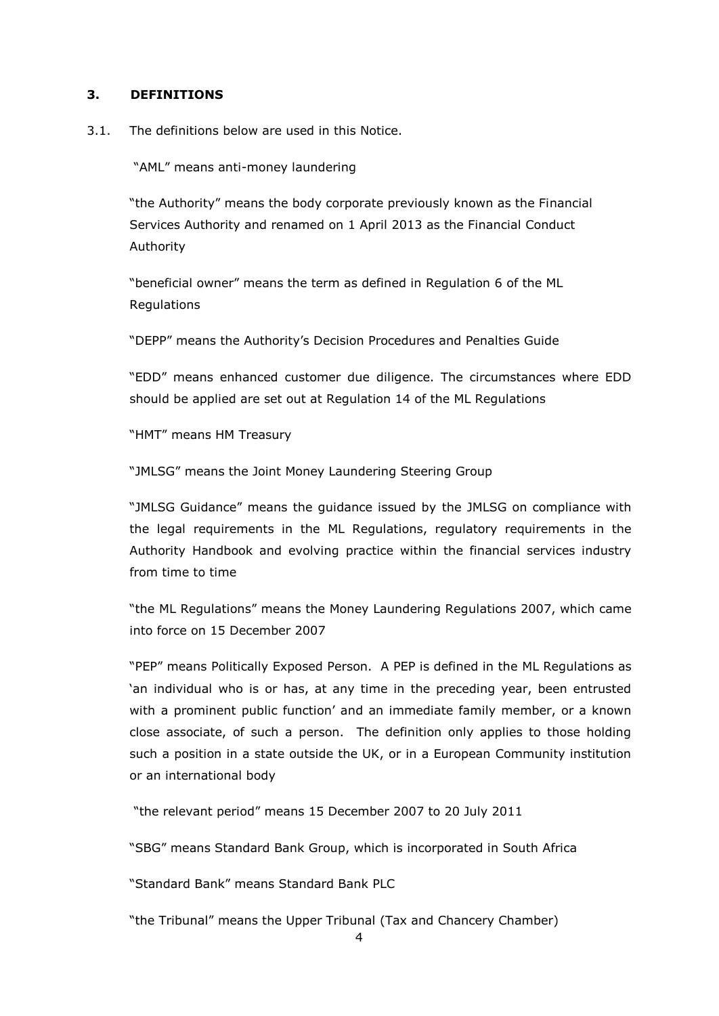## **3. DEFINITIONS**

3.1. The definitions below are used in this Notice.

"AML" means anti-money laundering

"the Authority" means the body corporate previously known as the Financial Services Authority and renamed on 1 April 2013 as the Financial Conduct Authority

"beneficial owner" means the term as defined in Regulation 6 of the ML Regulations

"DEPP" means the Authority's Decision Procedures and Penalties Guide

"EDD" means enhanced customer due diligence. The circumstances where EDD should be applied are set out at Regulation 14 of the ML Regulations

"HMT" means HM Treasury

"JMLSG" means the Joint Money Laundering Steering Group

"JMLSG Guidance" means the guidance issued by the JMLSG on compliance with the legal requirements in the ML Regulations, regulatory requirements in the Authority Handbook and evolving practice within the financial services industry from time to time

"the ML Regulations" means the Money Laundering Regulations 2007, which came into force on 15 December 2007

"PEP" means Politically Exposed Person. A PEP is defined in the ML Regulations as 'an individual who is or has, at any time in the preceding year, been entrusted with a prominent public function' and an immediate family member, or a known close associate, of such a person. The definition only applies to those holding such a position in a state outside the UK, or in a European Community institution or an international body

"the relevant period" means 15 December 2007 to 20 July 2011

"SBG" means Standard Bank Group, which is incorporated in South Africa

"Standard Bank" means Standard Bank PLC

"the Tribunal" means the Upper Tribunal (Tax and Chancery Chamber)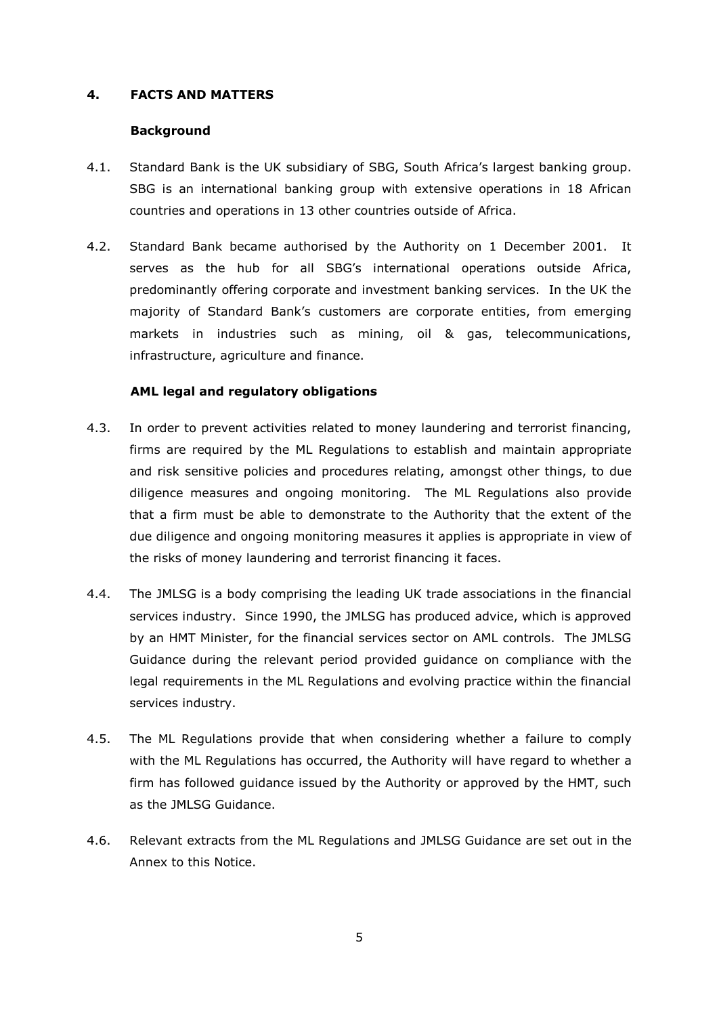## **4. FACTS AND MATTERS**

## **Background**

- 4.1. Standard Bank is the UK subsidiary of SBG, South Africa's largest banking group. SBG is an international banking group with extensive operations in 18 African countries and operations in 13 other countries outside of Africa.
- 4.2. Standard Bank became authorised by the Authority on 1 December 2001. It serves as the hub for all SBG's international operations outside Africa, predominantly offering corporate and investment banking services. In the UK the majority of Standard Bank's customers are corporate entities, from emerging markets in industries such as mining, oil & gas, telecommunications, infrastructure, agriculture and finance.

## **AML legal and regulatory obligations**

- 4.3. In order to prevent activities related to money laundering and terrorist financing, firms are required by the ML Regulations to establish and maintain appropriate and risk sensitive policies and procedures relating, amongst other things, to due diligence measures and ongoing monitoring. The ML Regulations also provide that a firm must be able to demonstrate to the Authority that the extent of the due diligence and ongoing monitoring measures it applies is appropriate in view of the risks of money laundering and terrorist financing it faces.
- 4.4. The JMLSG is a body comprising the leading UK trade associations in the financial services industry. Since 1990, the JMLSG has produced advice, which is approved by an HMT Minister, for the financial services sector on AML controls. The JMLSG Guidance during the relevant period provided guidance on compliance with the legal requirements in the ML Regulations and evolving practice within the financial services industry.
- 4.5. The ML Regulations provide that when considering whether a failure to comply with the ML Regulations has occurred, the Authority will have regard to whether a firm has followed guidance issued by the Authority or approved by the HMT, such as the JMLSG Guidance.
- 4.6. Relevant extracts from the ML Regulations and JMLSG Guidance are set out in the Annex to this Notice.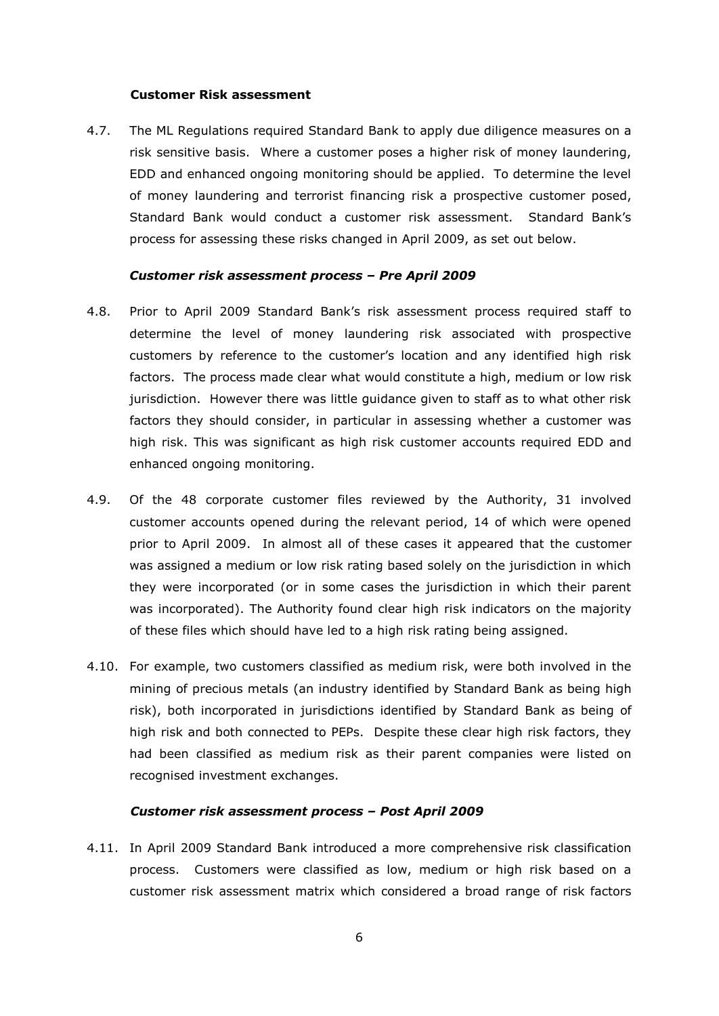#### **Customer Risk assessment**

4.7. The ML Regulations required Standard Bank to apply due diligence measures on a risk sensitive basis. Where a customer poses a higher risk of money laundering, EDD and enhanced ongoing monitoring should be applied. To determine the level of money laundering and terrorist financing risk a prospective customer posed, Standard Bank would conduct a customer risk assessment. Standard Bank's process for assessing these risks changed in April 2009, as set out below.

#### *Customer risk assessment process – Pre April 2009*

- 4.8. Prior to April 2009 Standard Bank's risk assessment process required staff to determine the level of money laundering risk associated with prospective customers by reference to the customer's location and any identified high risk factors. The process made clear what would constitute a high, medium or low risk jurisdiction. However there was little guidance given to staff as to what other risk factors they should consider, in particular in assessing whether a customer was high risk. This was significant as high risk customer accounts required EDD and enhanced ongoing monitoring.
- 4.9. Of the 48 corporate customer files reviewed by the Authority, 31 involved customer accounts opened during the relevant period, 14 of which were opened prior to April 2009. In almost all of these cases it appeared that the customer was assigned a medium or low risk rating based solely on the jurisdiction in which they were incorporated (or in some cases the jurisdiction in which their parent was incorporated). The Authority found clear high risk indicators on the majority of these files which should have led to a high risk rating being assigned.
- 4.10. For example, two customers classified as medium risk, were both involved in the mining of precious metals (an industry identified by Standard Bank as being high risk), both incorporated in jurisdictions identified by Standard Bank as being of high risk and both connected to PEPs. Despite these clear high risk factors, they had been classified as medium risk as their parent companies were listed on recognised investment exchanges.

## *Customer risk assessment process – Post April 2009*

4.11. In April 2009 Standard Bank introduced a more comprehensive risk classification process. Customers were classified as low, medium or high risk based on a customer risk assessment matrix which considered a broad range of risk factors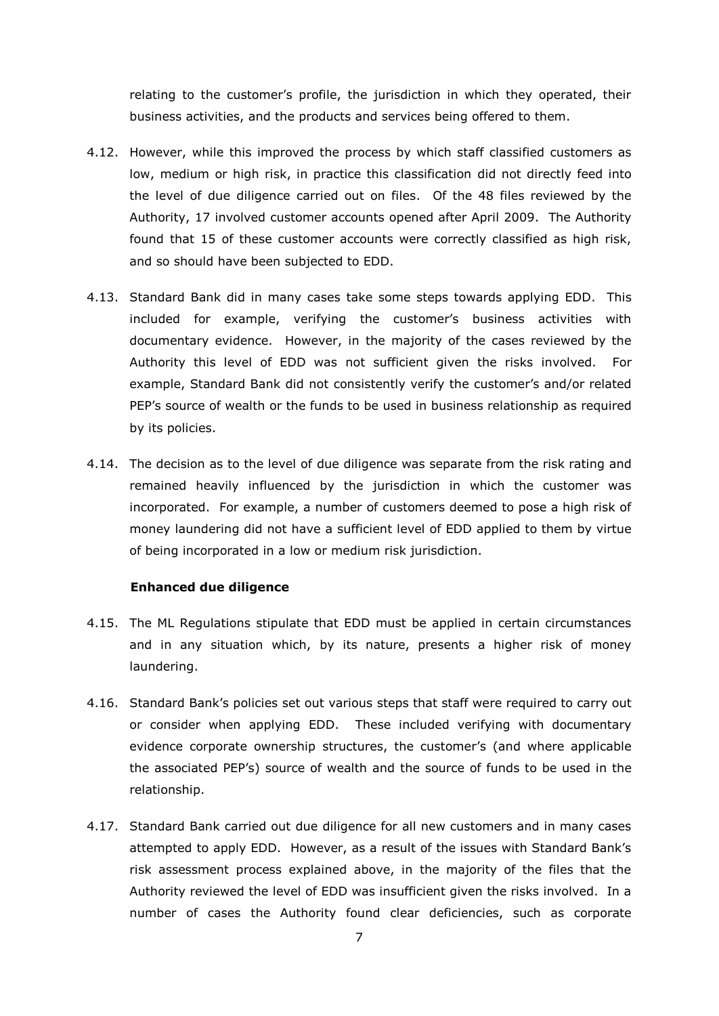relating to the customer's profile, the jurisdiction in which they operated, their business activities, and the products and services being offered to them.

- 4.12. However, while this improved the process by which staff classified customers as low, medium or high risk, in practice this classification did not directly feed into the level of due diligence carried out on files. Of the 48 files reviewed by the Authority, 17 involved customer accounts opened after April 2009. The Authority found that 15 of these customer accounts were correctly classified as high risk, and so should have been subjected to EDD.
- 4.13. Standard Bank did in many cases take some steps towards applying EDD. This included for example, verifying the customer's business activities with documentary evidence. However, in the majority of the cases reviewed by the Authority this level of EDD was not sufficient given the risks involved. For example, Standard Bank did not consistently verify the customer's and/or related PEP's source of wealth or the funds to be used in business relationship as required by its policies.
- 4.14. The decision as to the level of due diligence was separate from the risk rating and remained heavily influenced by the jurisdiction in which the customer was incorporated. For example, a number of customers deemed to pose a high risk of money laundering did not have a sufficient level of EDD applied to them by virtue of being incorporated in a low or medium risk jurisdiction.

### **Enhanced due diligence**

- 4.15. The ML Regulations stipulate that EDD must be applied in certain circumstances and in any situation which, by its nature, presents a higher risk of money laundering.
- 4.16. Standard Bank's policies set out various steps that staff were required to carry out or consider when applying EDD. These included verifying with documentary evidence corporate ownership structures, the customer's (and where applicable the associated PEP's) source of wealth and the source of funds to be used in the relationship.
- 4.17. Standard Bank carried out due diligence for all new customers and in many cases attempted to apply EDD. However, as a result of the issues with Standard Bank's risk assessment process explained above, in the majority of the files that the Authority reviewed the level of EDD was insufficient given the risks involved. In a number of cases the Authority found clear deficiencies, such as corporate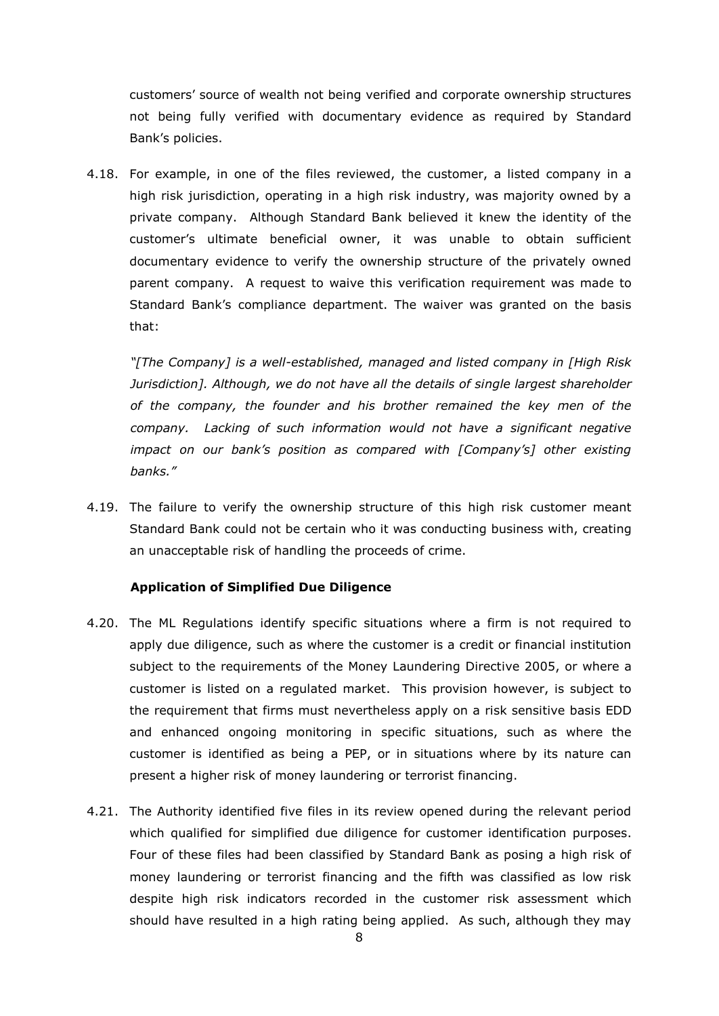customers' source of wealth not being verified and corporate ownership structures not being fully verified with documentary evidence as required by Standard Bank's policies.

4.18. For example, in one of the files reviewed, the customer, a listed company in a high risk jurisdiction, operating in a high risk industry, was majority owned by a private company. Although Standard Bank believed it knew the identity of the customer's ultimate beneficial owner, it was unable to obtain sufficient documentary evidence to verify the ownership structure of the privately owned parent company. A request to waive this verification requirement was made to Standard Bank's compliance department. The waiver was granted on the basis that:

*"[The Company] is a well-established, managed and listed company in [High Risk Jurisdiction]. Although, we do not have all the details of single largest shareholder of the company, the founder and his brother remained the key men of the company. Lacking of such information would not have a significant negative impact on our bank's position as compared with [Company's] other existing banks."* 

4.19. The failure to verify the ownership structure of this high risk customer meant Standard Bank could not be certain who it was conducting business with, creating an unacceptable risk of handling the proceeds of crime.

## **Application of Simplified Due Diligence**

- 4.20. The ML Regulations identify specific situations where a firm is not required to apply due diligence, such as where the customer is a credit or financial institution subject to the requirements of the Money Laundering Directive 2005, or where a customer is listed on a regulated market. This provision however, is subject to the requirement that firms must nevertheless apply on a risk sensitive basis EDD and enhanced ongoing monitoring in specific situations, such as where the customer is identified as being a PEP, or in situations where by its nature can present a higher risk of money laundering or terrorist financing.
- 4.21. The Authority identified five files in its review opened during the relevant period which qualified for simplified due diligence for customer identification purposes. Four of these files had been classified by Standard Bank as posing a high risk of money laundering or terrorist financing and the fifth was classified as low risk despite high risk indicators recorded in the customer risk assessment which should have resulted in a high rating being applied. As such, although they may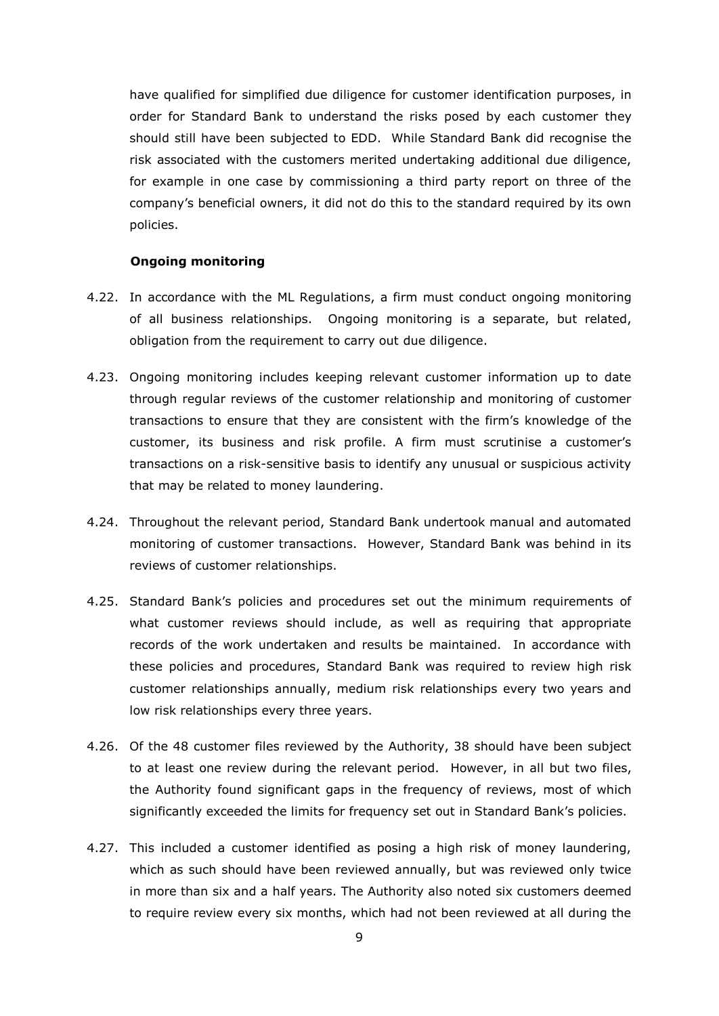have qualified for simplified due diligence for customer identification purposes, in order for Standard Bank to understand the risks posed by each customer they should still have been subjected to EDD. While Standard Bank did recognise the risk associated with the customers merited undertaking additional due diligence, for example in one case by commissioning a third party report on three of the company's beneficial owners, it did not do this to the standard required by its own policies.

## **Ongoing monitoring**

- 4.22. In accordance with the ML Regulations, a firm must conduct ongoing monitoring of all business relationships. Ongoing monitoring is a separate, but related, obligation from the requirement to carry out due diligence.
- 4.23. Ongoing monitoring includes keeping relevant customer information up to date through regular reviews of the customer relationship and monitoring of customer transactions to ensure that they are consistent with the firm's knowledge of the customer, its business and risk profile. A firm must scrutinise a customer's transactions on a risk-sensitive basis to identify any unusual or suspicious activity that may be related to money laundering.
- 4.24. Throughout the relevant period, Standard Bank undertook manual and automated monitoring of customer transactions. However, Standard Bank was behind in its reviews of customer relationships.
- 4.25. Standard Bank's policies and procedures set out the minimum requirements of what customer reviews should include, as well as requiring that appropriate records of the work undertaken and results be maintained. In accordance with these policies and procedures, Standard Bank was required to review high risk customer relationships annually, medium risk relationships every two years and low risk relationships every three years.
- 4.26. Of the 48 customer files reviewed by the Authority, 38 should have been subject to at least one review during the relevant period. However, in all but two files, the Authority found significant gaps in the frequency of reviews, most of which significantly exceeded the limits for frequency set out in Standard Bank's policies.
- 4.27. This included a customer identified as posing a high risk of money laundering, which as such should have been reviewed annually, but was reviewed only twice in more than six and a half years. The Authority also noted six customers deemed to require review every six months, which had not been reviewed at all during the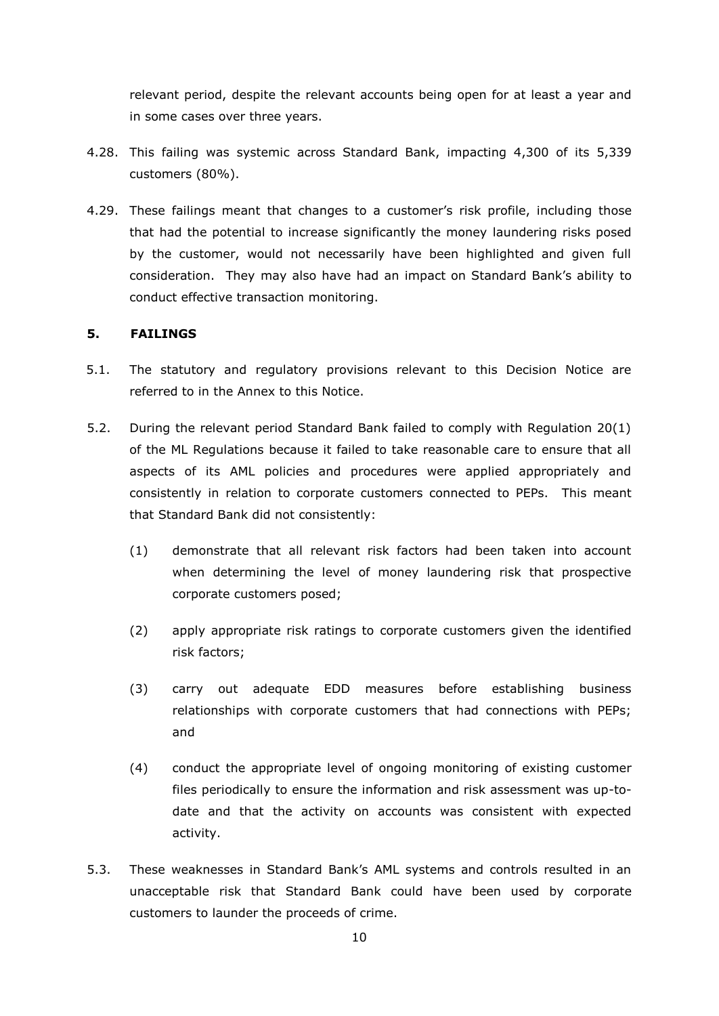relevant period, despite the relevant accounts being open for at least a year and in some cases over three years.

- 4.28. This failing was systemic across Standard Bank, impacting 4,300 of its 5,339 customers (80%).
- 4.29. These failings meant that changes to a customer's risk profile, including those that had the potential to increase significantly the money laundering risks posed by the customer, would not necessarily have been highlighted and given full consideration. They may also have had an impact on Standard Bank's ability to conduct effective transaction monitoring.

## **5. FAILINGS**

- 5.1. The statutory and regulatory provisions relevant to this Decision Notice are referred to in the Annex to this Notice.
- 5.2. During the relevant period Standard Bank failed to comply with Regulation 20(1) of the ML Regulations because it failed to take reasonable care to ensure that all aspects of its AML policies and procedures were applied appropriately and consistently in relation to corporate customers connected to PEPs. This meant that Standard Bank did not consistently:
	- (1) demonstrate that all relevant risk factors had been taken into account when determining the level of money laundering risk that prospective corporate customers posed;
	- (2) apply appropriate risk ratings to corporate customers given the identified risk factors;
	- (3) carry out adequate EDD measures before establishing business relationships with corporate customers that had connections with PEPs; and
	- (4) conduct the appropriate level of ongoing monitoring of existing customer files periodically to ensure the information and risk assessment was up-todate and that the activity on accounts was consistent with expected activity.
- 5.3. These weaknesses in Standard Bank's AML systems and controls resulted in an unacceptable risk that Standard Bank could have been used by corporate customers to launder the proceeds of crime.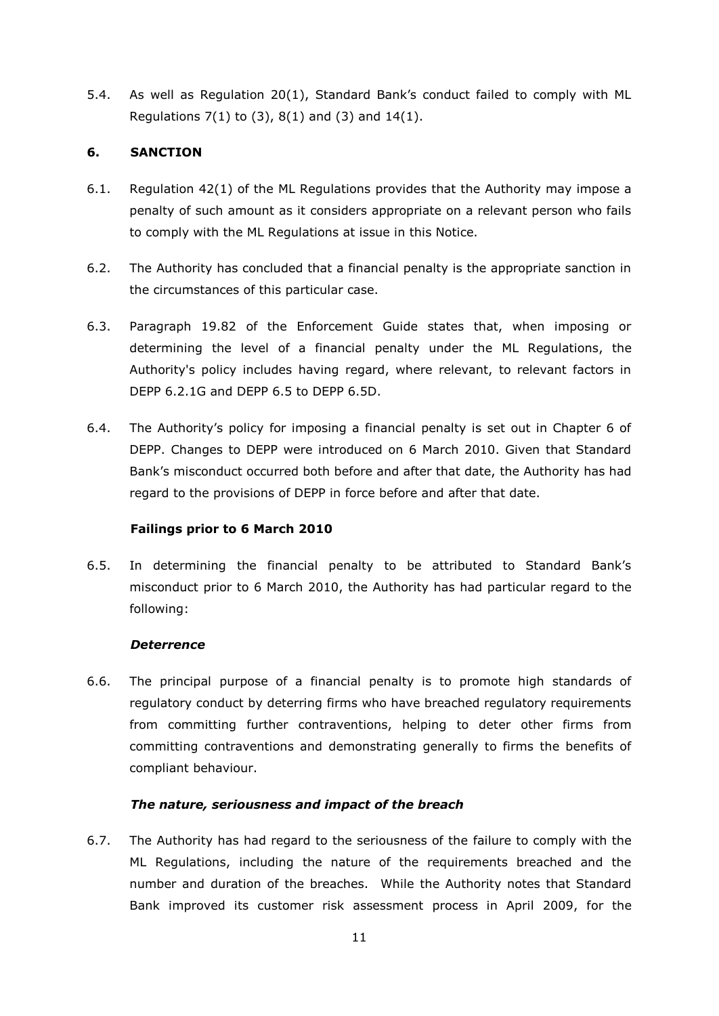5.4. As well as Regulation 20(1), Standard Bank's conduct failed to comply with ML Regulations  $7(1)$  to  $(3)$ ,  $8(1)$  and  $(3)$  and  $14(1)$ .

# **6. SANCTION**

- 6.1. Regulation 42(1) of the ML Regulations provides that the Authority may impose a penalty of such amount as it considers appropriate on a relevant person who fails to comply with the ML Regulations at issue in this Notice.
- 6.2. The Authority has concluded that a financial penalty is the appropriate sanction in the circumstances of this particular case.
- 6.3. Paragraph 19.82 of the Enforcement Guide states that, when imposing or determining the level of a financial penalty under the ML Regulations, the Authority's policy includes having regard, where relevant, to relevant factors in DEPP 6.2.1G and DEPP 6.5 to DEPP 6.5D.
- 6.4. The Authority's policy for imposing a financial penalty is set out in Chapter 6 of DEPP. Changes to DEPP were introduced on 6 March 2010. Given that Standard Bank's misconduct occurred both before and after that date, the Authority has had regard to the provisions of DEPP in force before and after that date.

## **Failings prior to 6 March 2010**

6.5. In determining the financial penalty to be attributed to Standard Bank's misconduct prior to 6 March 2010, the Authority has had particular regard to the following:

## *Deterrence*

6.6. The principal purpose of a financial penalty is to promote high standards of regulatory conduct by deterring firms who have breached regulatory requirements from committing further contraventions, helping to deter other firms from committing contraventions and demonstrating generally to firms the benefits of compliant behaviour.

## *The nature, seriousness and impact of the breach*

6.7. The Authority has had regard to the seriousness of the failure to comply with the ML Regulations, including the nature of the requirements breached and the number and duration of the breaches. While the Authority notes that Standard Bank improved its customer risk assessment process in April 2009, for the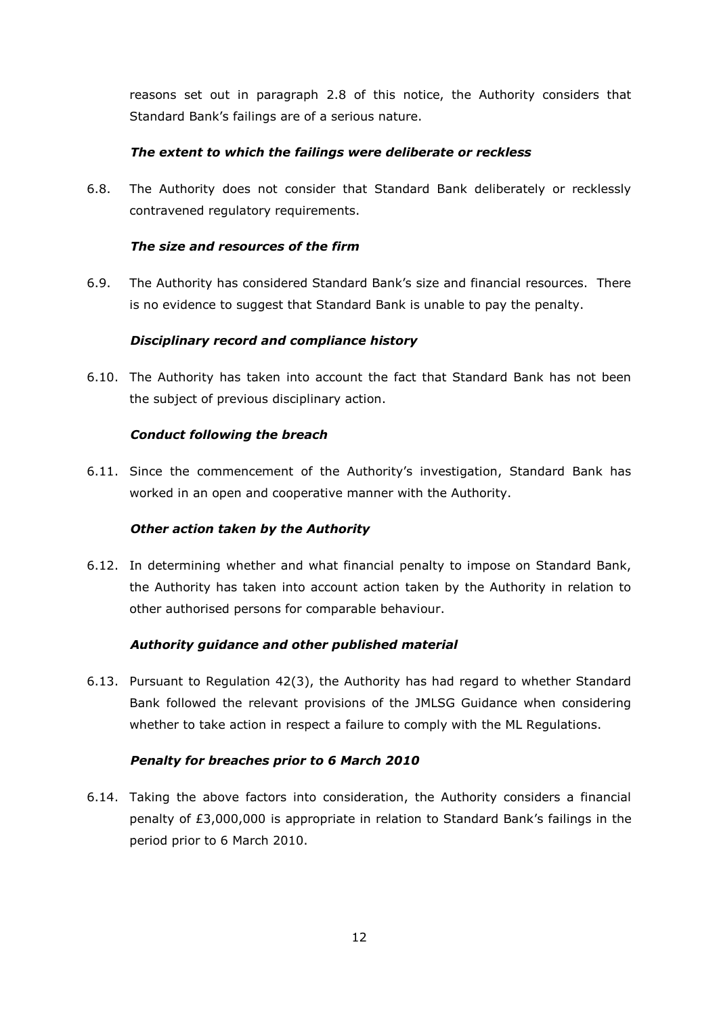reasons set out in paragraph 2.8 of this notice, the Authority considers that Standard Bank's failings are of a serious nature.

# *The extent to which the failings were deliberate or reckless*

6.8. The Authority does not consider that Standard Bank deliberately or recklessly contravened regulatory requirements.

# *The size and resources of the firm*

6.9. The Authority has considered Standard Bank's size and financial resources. There is no evidence to suggest that Standard Bank is unable to pay the penalty.

# *Disciplinary record and compliance history*

6.10. The Authority has taken into account the fact that Standard Bank has not been the subject of previous disciplinary action.

# *Conduct following the breach*

6.11. Since the commencement of the Authority's investigation, Standard Bank has worked in an open and cooperative manner with the Authority.

## *Other action taken by the Authority*

6.12. In determining whether and what financial penalty to impose on Standard Bank, the Authority has taken into account action taken by the Authority in relation to other authorised persons for comparable behaviour.

## *Authority guidance and other published material*

6.13. Pursuant to Regulation 42(3), the Authority has had regard to whether Standard Bank followed the relevant provisions of the JMLSG Guidance when considering whether to take action in respect a failure to comply with the ML Regulations.

## *Penalty for breaches prior to 6 March 2010*

6.14. Taking the above factors into consideration, the Authority considers a financial penalty of £3,000,000 is appropriate in relation to Standard Bank's failings in the period prior to 6 March 2010.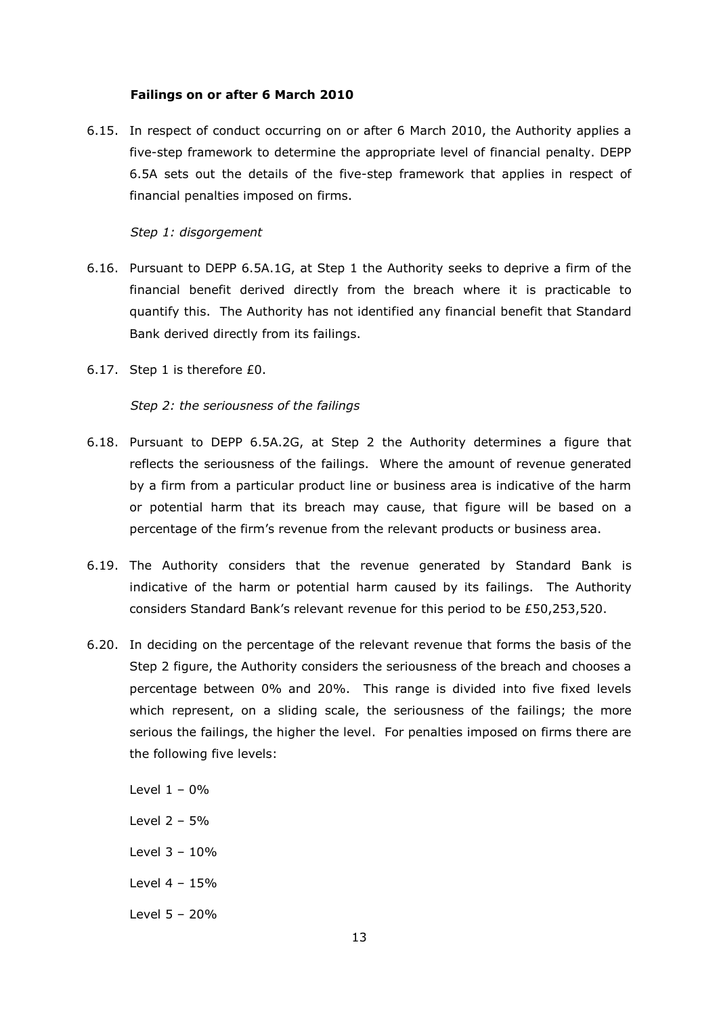## **Failings on or after 6 March 2010**

6.15. In respect of conduct occurring on or after 6 March 2010, the Authority applies a five-step framework to determine the appropriate level of financial penalty. DEPP 6.5A sets out the details of the five-step framework that applies in respect of financial penalties imposed on firms.

## *Step 1: disgorgement*

- 6.16. Pursuant to DEPP 6.5A.1G, at Step 1 the Authority seeks to deprive a firm of the financial benefit derived directly from the breach where it is practicable to quantify this. The Authority has not identified any financial benefit that Standard Bank derived directly from its failings.
- 6.17. Step 1 is therefore £0.

#### *Step 2: the seriousness of the failings*

- 6.18. Pursuant to DEPP 6.5A.2G, at Step 2 the Authority determines a figure that reflects the seriousness of the failings. Where the amount of revenue generated by a firm from a particular product line or business area is indicative of the harm or potential harm that its breach may cause, that figure will be based on a percentage of the firm's revenue from the relevant products or business area.
- 6.19. The Authority considers that the revenue generated by Standard Bank is indicative of the harm or potential harm caused by its failings. The Authority considers Standard Bank's relevant revenue for this period to be £50,253,520.
- 6.20. In deciding on the percentage of the relevant revenue that forms the basis of the Step 2 figure, the Authority considers the seriousness of the breach and chooses a percentage between 0% and 20%. This range is divided into five fixed levels which represent, on a sliding scale, the seriousness of the failings; the more serious the failings, the higher the level. For penalties imposed on firms there are the following five levels:

Level  $1 - 0%$ Level 2 – 5% Level  $3 - 10%$ Level 4 – 15% Level 5 – 20%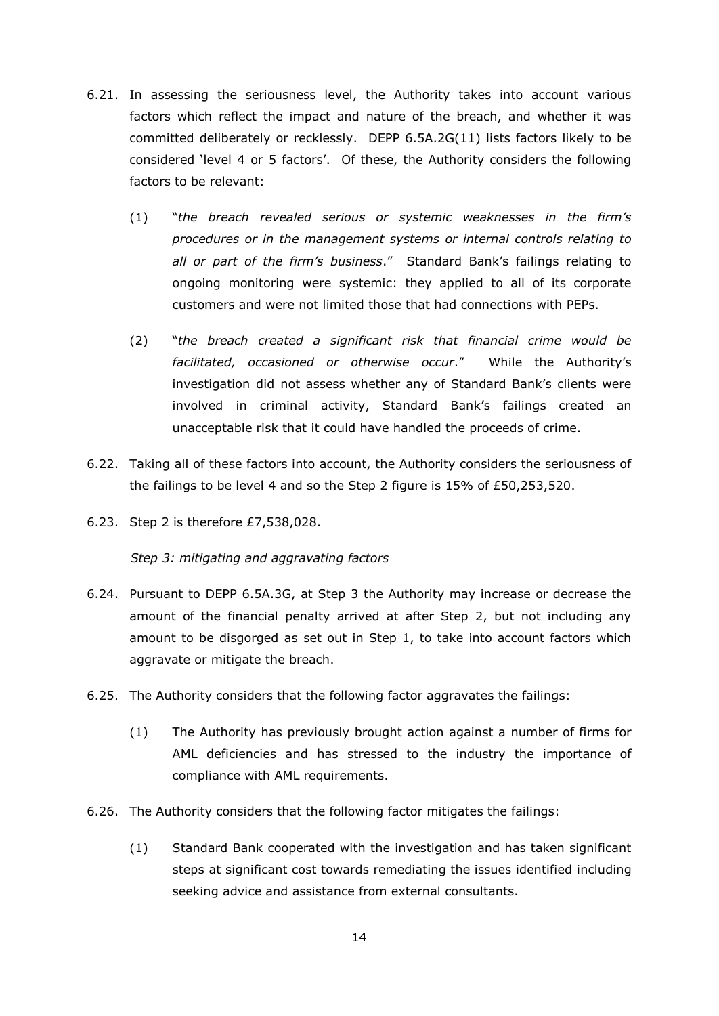- 6.21. In assessing the seriousness level, the Authority takes into account various factors which reflect the impact and nature of the breach, and whether it was committed deliberately or recklessly. DEPP 6.5A.2G(11) lists factors likely to be considered 'level 4 or 5 factors'. Of these, the Authority considers the following factors to be relevant:
	- (1) "*the breach revealed serious or systemic weaknesses in the firm's procedures or in the management systems or internal controls relating to all or part of the firm's business*." Standard Bank's failings relating to ongoing monitoring were systemic: they applied to all of its corporate customers and were not limited those that had connections with PEPs.
	- (2) "*the breach created a significant risk that financial crime would be facilitated, occasioned or otherwise occur*." While the Authority's investigation did not assess whether any of Standard Bank's clients were involved in criminal activity, Standard Bank's failings created an unacceptable risk that it could have handled the proceeds of crime.
- 6.22. Taking all of these factors into account, the Authority considers the seriousness of the failings to be level 4 and so the Step 2 figure is 15% of £50,253,520.
- 6.23. Step 2 is therefore £7,538,028.

*Step 3: mitigating and aggravating factors*

- 6.24. Pursuant to DEPP 6.5A.3G, at Step 3 the Authority may increase or decrease the amount of the financial penalty arrived at after Step 2, but not including any amount to be disgorged as set out in Step 1, to take into account factors which aggravate or mitigate the breach.
- 6.25. The Authority considers that the following factor aggravates the failings:
	- (1) The Authority has previously brought action against a number of firms for AML deficiencies and has stressed to the industry the importance of compliance with AML requirements.
- 6.26. The Authority considers that the following factor mitigates the failings:
	- (1) Standard Bank cooperated with the investigation and has taken significant steps at significant cost towards remediating the issues identified including seeking advice and assistance from external consultants.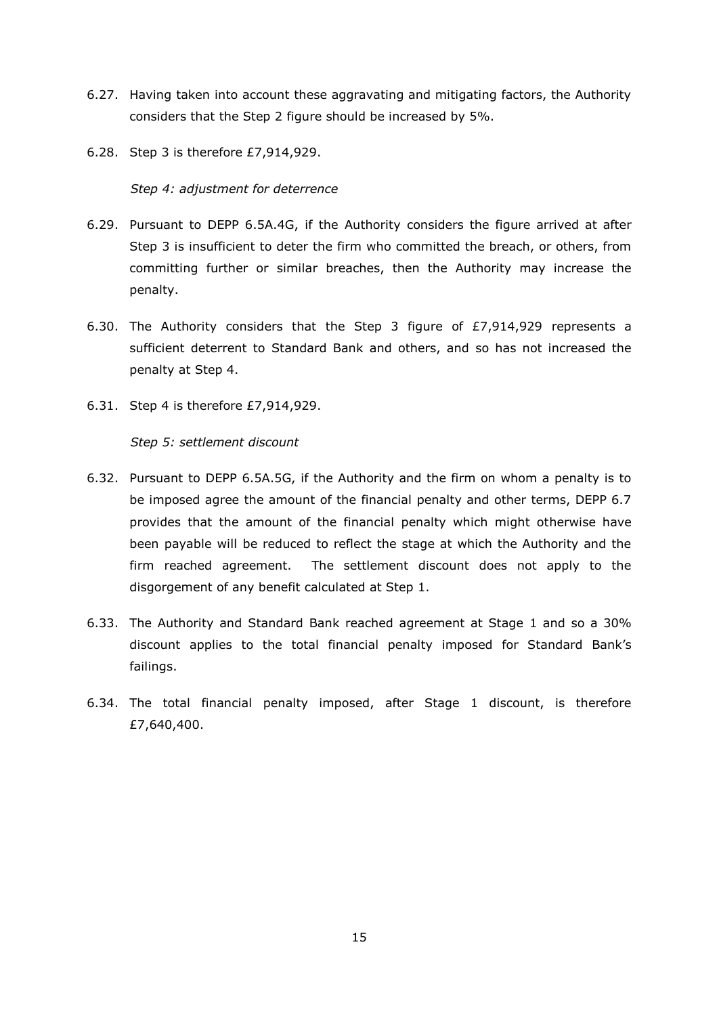- 6.27. Having taken into account these aggravating and mitigating factors, the Authority considers that the Step 2 figure should be increased by 5%.
- 6.28. Step 3 is therefore £7,914,929.

*Step 4: adjustment for deterrence*

- 6.29. Pursuant to DEPP 6.5A.4G, if the Authority considers the figure arrived at after Step 3 is insufficient to deter the firm who committed the breach, or others, from committing further or similar breaches, then the Authority may increase the penalty.
- 6.30. The Authority considers that the Step 3 figure of £7,914,929 represents a sufficient deterrent to Standard Bank and others, and so has not increased the penalty at Step 4.
- 6.31. Step 4 is therefore £7,914,929.

*Step 5: settlement discount*

- 6.32. Pursuant to DEPP 6.5A.5G, if the Authority and the firm on whom a penalty is to be imposed agree the amount of the financial penalty and other terms, DEPP 6.7 provides that the amount of the financial penalty which might otherwise have been payable will be reduced to reflect the stage at which the Authority and the firm reached agreement. The settlement discount does not apply to the disgorgement of any benefit calculated at Step 1.
- 6.33. The Authority and Standard Bank reached agreement at Stage 1 and so a 30% discount applies to the total financial penalty imposed for Standard Bank's failings.
- 6.34. The total financial penalty imposed, after Stage 1 discount, is therefore £7,640,400.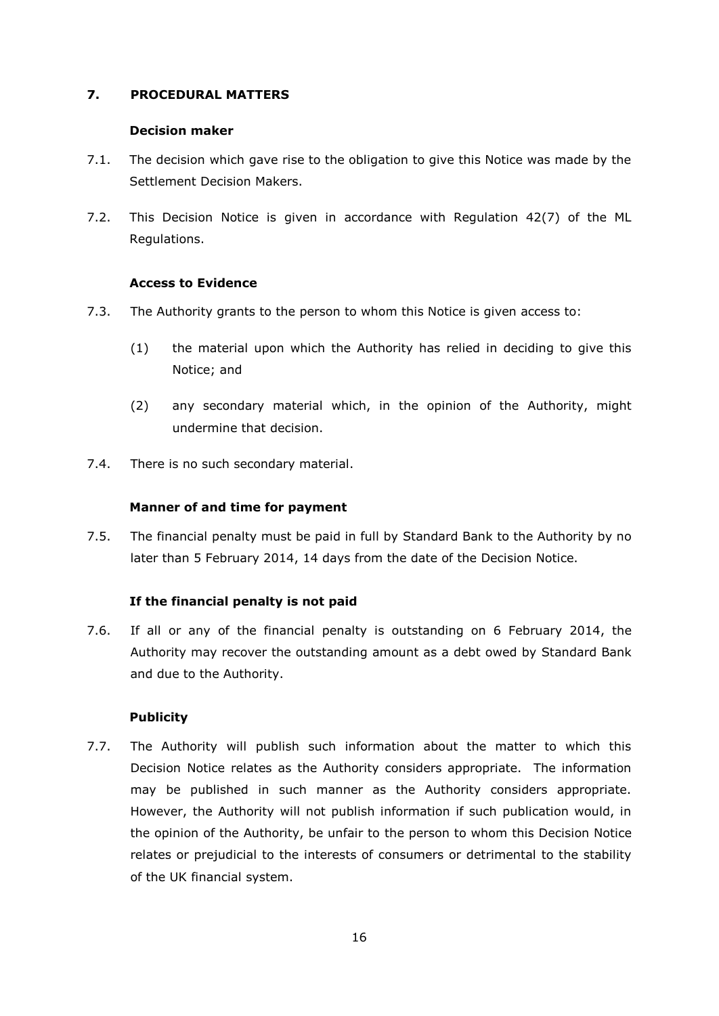## **7. PROCEDURAL MATTERS**

## **Decision maker**

- 7.1. The decision which gave rise to the obligation to give this Notice was made by the Settlement Decision Makers.
- 7.2. This Decision Notice is given in accordance with Regulation 42(7) of the ML Regulations.

## **Access to Evidence**

- 7.3. The Authority grants to the person to whom this Notice is given access to:
	- (1) the material upon which the Authority has relied in deciding to give this Notice; and
	- (2) any secondary material which, in the opinion of the Authority, might undermine that decision.
- 7.4. There is no such secondary material.

## **Manner of and time for payment**

7.5. The financial penalty must be paid in full by Standard Bank to the Authority by no later than 5 February 2014, 14 days from the date of the Decision Notice.

## **If the financial penalty is not paid**

7.6. If all or any of the financial penalty is outstanding on 6 February 2014, the Authority may recover the outstanding amount as a debt owed by Standard Bank and due to the Authority.

## **Publicity**

7.7. The Authority will publish such information about the matter to which this Decision Notice relates as the Authority considers appropriate. The information may be published in such manner as the Authority considers appropriate. However, the Authority will not publish information if such publication would, in the opinion of the Authority, be unfair to the person to whom this Decision Notice relates or prejudicial to the interests of consumers or detrimental to the stability of the UK financial system.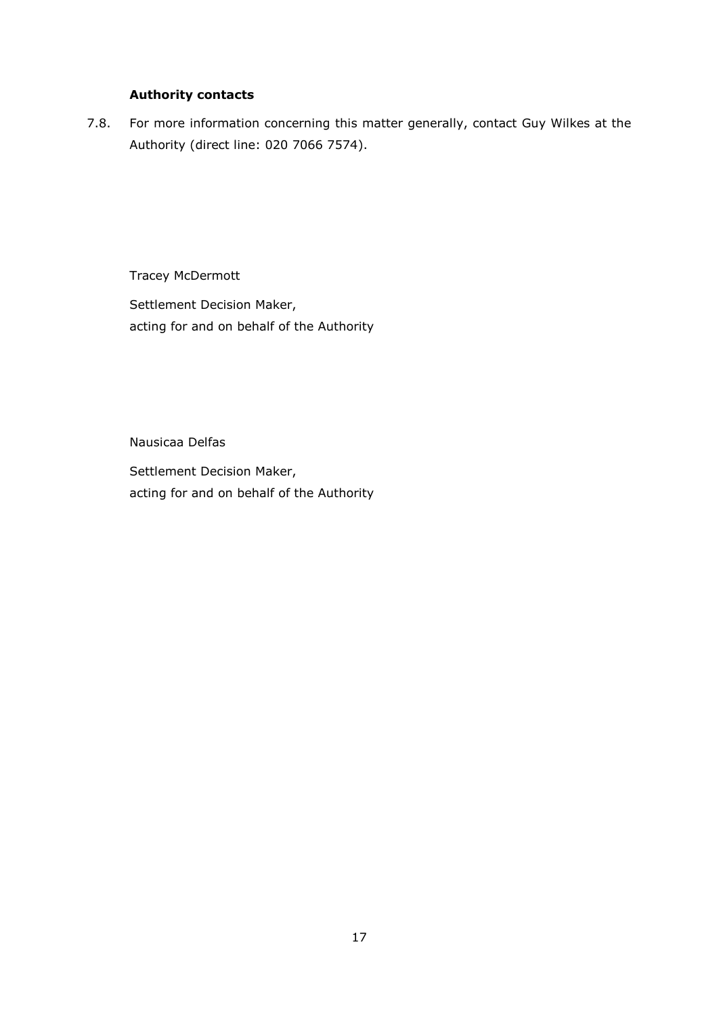# **Authority contacts**

7.8. For more information concerning this matter generally, contact Guy Wilkes at the Authority (direct line: 020 7066 7574).

Tracey McDermott

Settlement Decision Maker, acting for and on behalf of the Authority

Nausicaa Delfas

Settlement Decision Maker, acting for and on behalf of the Authority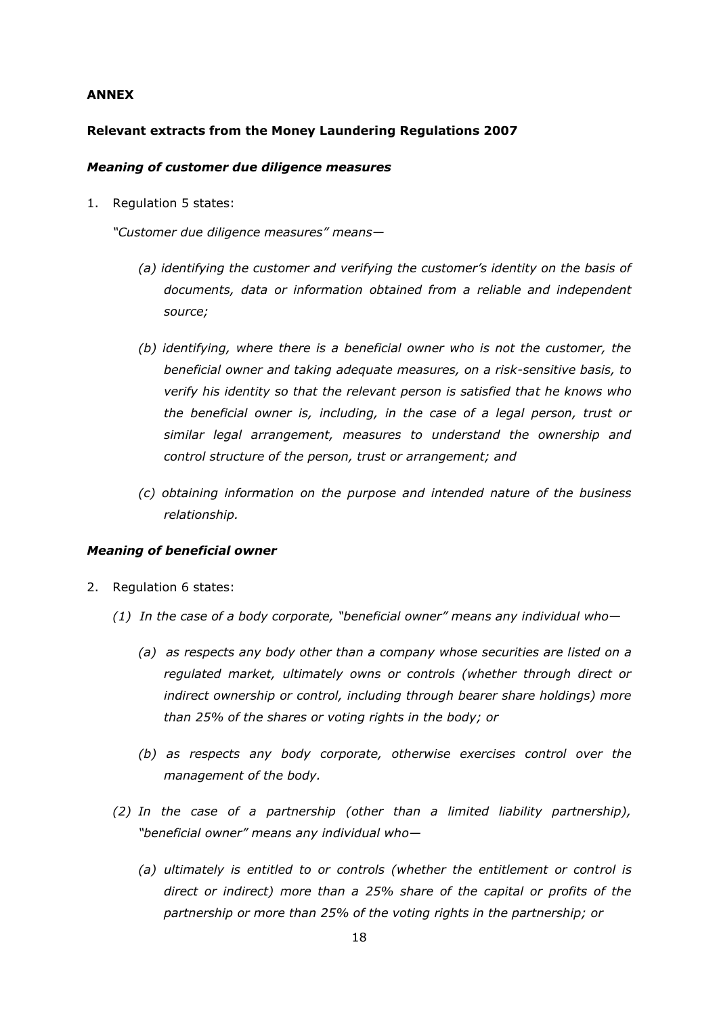#### **ANNEX**

#### **Relevant extracts from the Money Laundering Regulations 2007**

#### *Meaning of customer due diligence measures*

1. Regulation 5 states:

*"Customer due diligence measures" means—*

- *(a) identifying the customer and verifying the customer's identity on the basis of documents, data or information obtained from a reliable and independent source;*
- *(b) identifying, where there is a beneficial owner who is not the customer, the beneficial owner and taking adequate measures, on a risk-sensitive basis, to verify his identity so that the relevant person is satisfied that he knows who the beneficial owner is, including, in the case of a legal person, trust or similar legal arrangement, measures to understand the ownership and control structure of the person, trust or arrangement; and*
- *(c) obtaining information on the purpose and intended nature of the business relationship.*

#### *Meaning of beneficial owner*

- 2. Regulation 6 states:
	- *(1) In the case of a body corporate, "beneficial owner" means any individual who—*
		- *(a) as respects any body other than a company whose securities are listed on a regulated market, ultimately owns or controls (whether through direct or indirect ownership or control, including through bearer share holdings) more than 25% of the shares or voting rights in the body; or*
		- *(b) as respects any body corporate, otherwise exercises control over the management of the body.*
	- *(2) In the case of a partnership (other than a limited liability partnership), "beneficial owner" means any individual who—*
		- *(a) ultimately is entitled to or controls (whether the entitlement or control is direct or indirect) more than a 25% share of the capital or profits of the partnership or more than 25% of the voting rights in the partnership; or*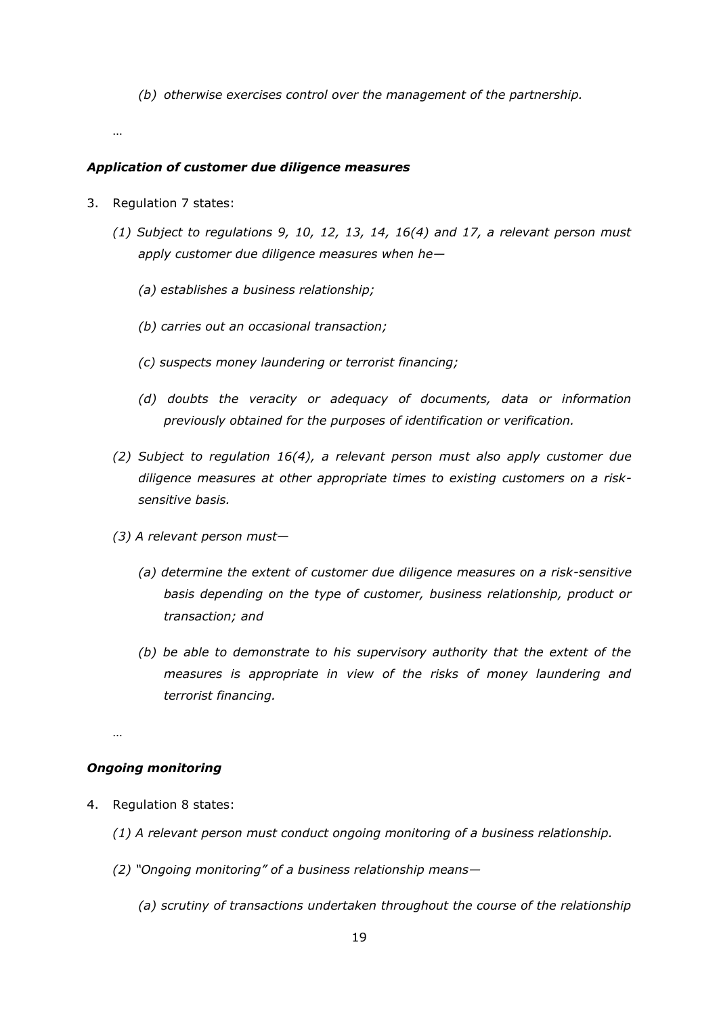*(b) otherwise exercises control over the management of the partnership.*

…

#### *Application of customer due diligence measures*

- 3. Regulation 7 states:
	- *(1) Subject to regulations 9, 10, 12, 13, 14, 16(4) and 17, a relevant person must apply customer due diligence measures when he—*
		- *(a) establishes a business relationship;*
		- *(b) carries out an occasional transaction;*
		- *(c) suspects money laundering or terrorist financing;*
		- *(d) doubts the veracity or adequacy of documents, data or information previously obtained for the purposes of identification or verification.*
	- *(2) Subject to regulation 16(4), a relevant person must also apply customer due diligence measures at other appropriate times to existing customers on a risksensitive basis.*
	- *(3) A relevant person must—*
		- *(a) determine the extent of customer due diligence measures on a risk-sensitive basis depending on the type of customer, business relationship, product or transaction; and*
		- *(b) be able to demonstrate to his supervisory authority that the extent of the measures is appropriate in view of the risks of money laundering and terrorist financing.*

…

#### *Ongoing monitoring*

- 4. Regulation 8 states:
	- *(1) A relevant person must conduct ongoing monitoring of a business relationship.*
	- *(2) "Ongoing monitoring" of a business relationship means—*
		- *(a) scrutiny of transactions undertaken throughout the course of the relationship*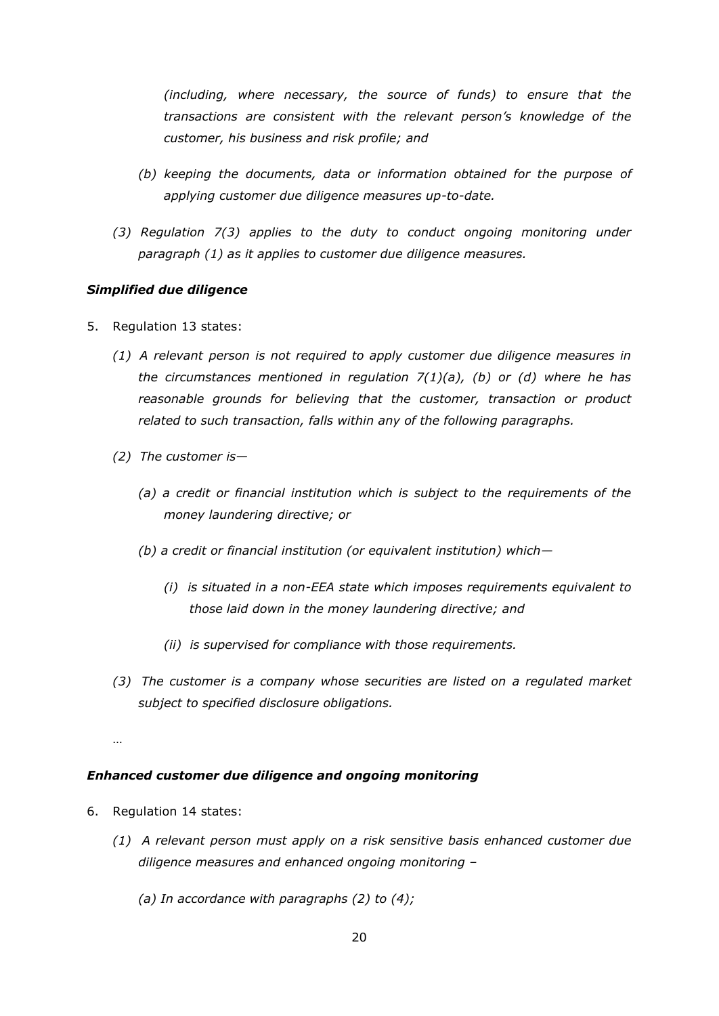*(including, where necessary, the source of funds) to ensure that the transactions are consistent with the relevant person's knowledge of the customer, his business and risk profile; and* 

- *(b) keeping the documents, data or information obtained for the purpose of applying customer due diligence measures up-to-date.*
- *(3) Regulation 7(3) applies to the duty to conduct ongoing monitoring under paragraph (1) as it applies to customer due diligence measures.*

## *Simplified due diligence*

- 5. Regulation 13 states:
	- *(1) A relevant person is not required to apply customer due diligence measures in the circumstances mentioned in regulation 7(1)(a), (b) or (d) where he has reasonable grounds for believing that the customer, transaction or product related to such transaction, falls within any of the following paragraphs.*
	- *(2) The customer is—*
		- *(a) a credit or financial institution which is subject to the requirements of the money laundering directive; or*
		- *(b) a credit or financial institution (or equivalent institution) which—*
			- *(i) is situated in a non-EEA state which imposes requirements equivalent to those laid down in the money laundering directive; and*
			- *(ii) is supervised for compliance with those requirements.*
	- *(3) The customer is a company whose securities are listed on a regulated market subject to specified disclosure obligations.*

…

## *Enhanced customer due diligence and ongoing monitoring*

- 6. Regulation 14 states:
	- *(1) A relevant person must apply on a risk sensitive basis enhanced customer due diligence measures and enhanced ongoing monitoring –*
		- *(a) In accordance with paragraphs (2) to (4);*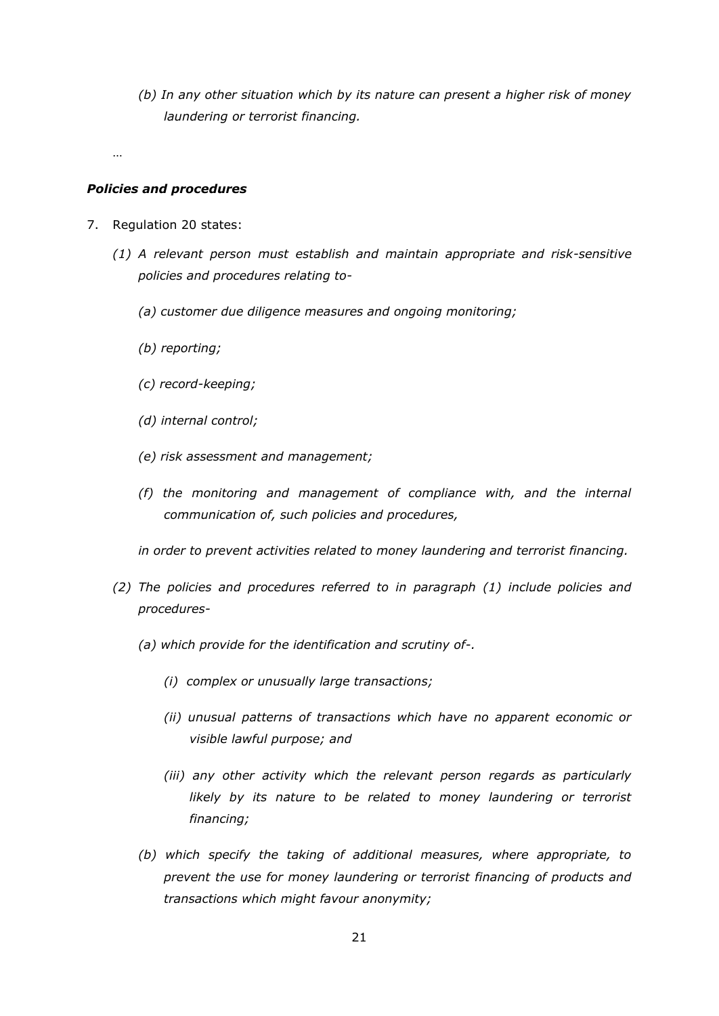*(b) In any other situation which by its nature can present a higher risk of money laundering or terrorist financing.*

…

#### *Policies and procedures*

- 7. Regulation 20 states:
	- *(1) A relevant person must establish and maintain appropriate and risk-sensitive policies and procedures relating to-*
		- *(a) customer due diligence measures and ongoing monitoring;*
		- *(b) reporting;*
		- *(c) record-keeping;*
		- *(d) internal control;*
		- *(e) risk assessment and management;*
		- *(f) the monitoring and management of compliance with, and the internal communication of, such policies and procedures,*

*in order to prevent activities related to money laundering and terrorist financing.* 

- *(2) The policies and procedures referred to in paragraph (1) include policies and procedures-*
	- *(a) which provide for the identification and scrutiny of-.*
		- *(i) complex or unusually large transactions;*
		- *(ii) unusual patterns of transactions which have no apparent economic or visible lawful purpose; and*
		- *(iii) any other activity which the relevant person regards as particularly likely by its nature to be related to money laundering or terrorist financing;*
	- *(b) which specify the taking of additional measures, where appropriate, to prevent the use for money laundering or terrorist financing of products and transactions which might favour anonymity;*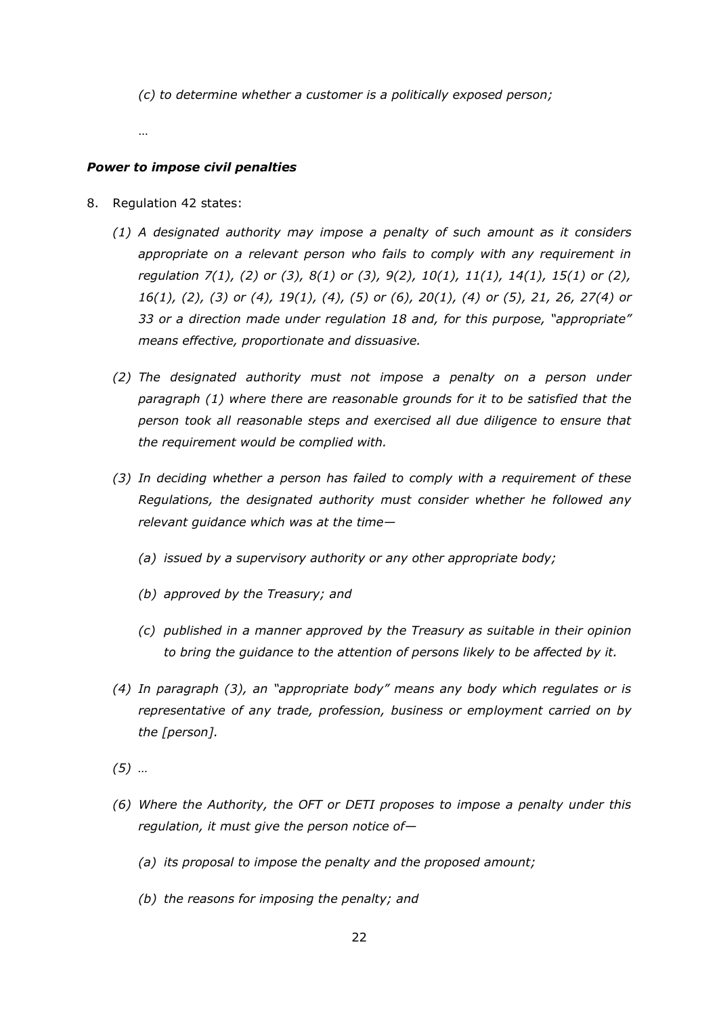*(c) to determine whether a customer is a politically exposed person;*

…

## *Power to impose civil penalties*

- 8. Regulation 42 states:
	- *(1) A designated authority may impose a penalty of such amount as it considers appropriate on a relevant person who fails to comply with any requirement in regulation 7(1), (2) or (3), 8(1) or (3), 9(2), 10(1), 11(1), 14(1), 15(1) or (2), 16(1), (2), (3) or (4), 19(1), (4), (5) or (6), 20(1), (4) or (5), 21, 26, 27(4) or 33 or a direction made under regulation 18 and, for this purpose, "appropriate" means effective, proportionate and dissuasive.*
	- *(2) The designated authority must not impose a penalty on a person under paragraph (1) where there are reasonable grounds for it to be satisfied that the person took all reasonable steps and exercised all due diligence to ensure that the requirement would be complied with.*
	- *(3) In deciding whether a person has failed to comply with a requirement of these Regulations, the designated authority must consider whether he followed any relevant guidance which was at the time—*
		- *(a) issued by a supervisory authority or any other appropriate body;*
		- *(b) approved by the Treasury; and*
		- *(c) published in a manner approved by the Treasury as suitable in their opinion to bring the guidance to the attention of persons likely to be affected by it.*
	- *(4) In paragraph (3), an "appropriate body" means any body which regulates or is representative of any trade, profession, business or employment carried on by the [person].*
	- *(5) …*
	- *(6) Where the Authority, the OFT or DETI proposes to impose a penalty under this regulation, it must give the person notice of—*
		- *(a) its proposal to impose the penalty and the proposed amount;*
		- *(b) the reasons for imposing the penalty; and*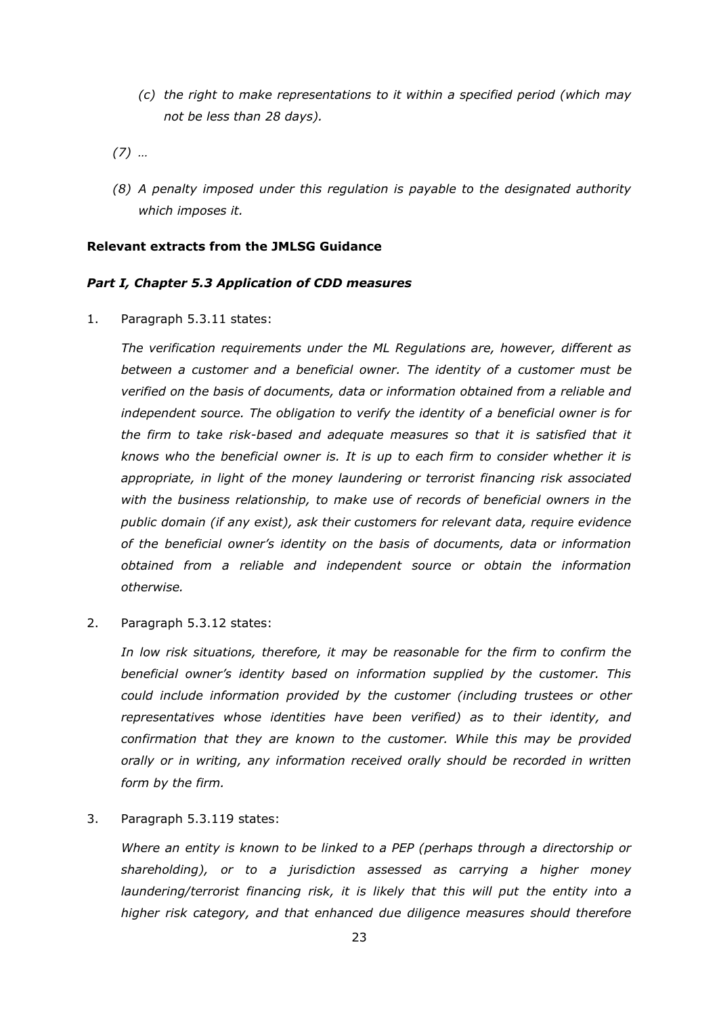*(c) the right to make representations to it within a specified period (which may not be less than 28 days).*

*(7) …*

*(8) A penalty imposed under this regulation is payable to the designated authority which imposes it.*

## **Relevant extracts from the JMLSG Guidance**

## *Part I, Chapter 5.3 Application of CDD measures*

1. Paragraph 5.3.11 states:

*The verification requirements under the ML Regulations are, however, different as between a customer and a beneficial owner. The identity of a customer must be verified on the basis of documents, data or information obtained from a reliable and independent source. The obligation to verify the identity of a beneficial owner is for the firm to take risk-based and adequate measures so that it is satisfied that it knows who the beneficial owner is. It is up to each firm to consider whether it is appropriate, in light of the money laundering or terrorist financing risk associated with the business relationship, to make use of records of beneficial owners in the public domain (if any exist), ask their customers for relevant data, require evidence of the beneficial owner's identity on the basis of documents, data or information obtained from a reliable and independent source or obtain the information otherwise.*

2. Paragraph 5.3.12 states:

*In low risk situations, therefore, it may be reasonable for the firm to confirm the beneficial owner's identity based on information supplied by the customer. This could include information provided by the customer (including trustees or other representatives whose identities have been verified) as to their identity, and confirmation that they are known to the customer. While this may be provided orally or in writing, any information received orally should be recorded in written form by the firm.*

3. Paragraph 5.3.119 states:

*Where an entity is known to be linked to a PEP (perhaps through a directorship or shareholding), or to a jurisdiction assessed as carrying a higher money laundering/terrorist financing risk, it is likely that this will put the entity into a higher risk category, and that enhanced due diligence measures should therefore*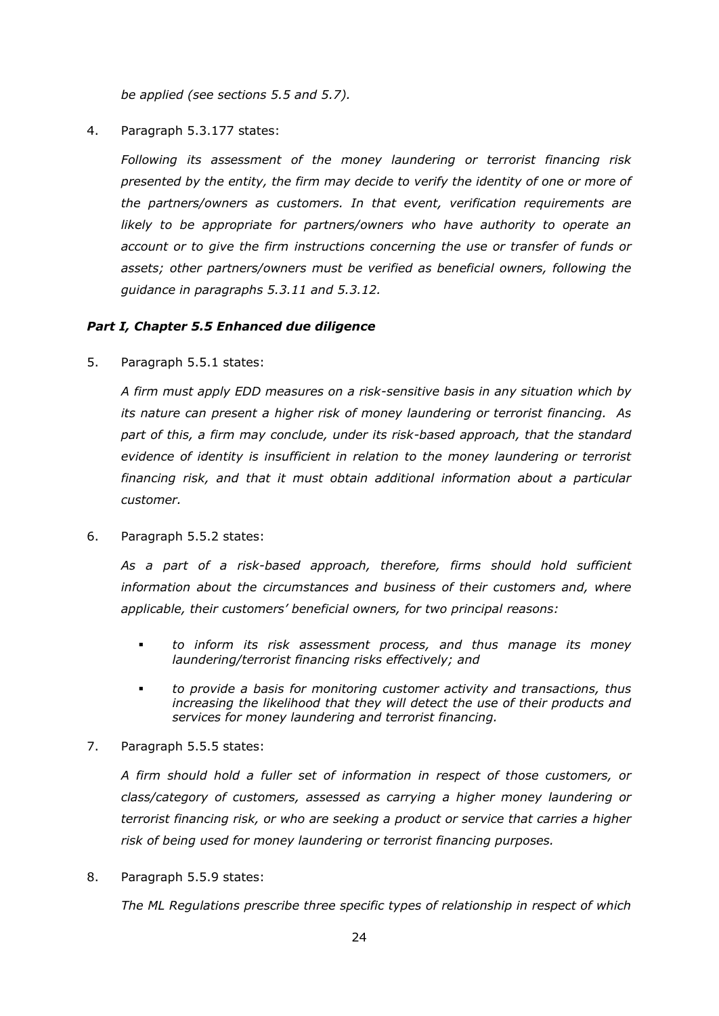*be applied (see sections 5.5 and 5.7).*

4. Paragraph 5.3.177 states:

*Following its assessment of the money laundering or terrorist financing risk presented by the entity, the firm may decide to verify the identity of one or more of the partners/owners as customers. In that event, verification requirements are*  likely to be appropriate for partners/owners who have authority to operate an *account or to give the firm instructions concerning the use or transfer of funds or assets; other partners/owners must be verified as beneficial owners, following the guidance in paragraphs 5.3.11 and 5.3.12.* 

## *Part I, Chapter 5.5 Enhanced due diligence*

5. Paragraph 5.5.1 states:

*A firm must apply EDD measures on a risk-sensitive basis in any situation which by its nature can present a higher risk of money laundering or terrorist financing. As part of this, a firm may conclude, under its risk-based approach, that the standard evidence of identity is insufficient in relation to the money laundering or terrorist financing risk, and that it must obtain additional information about a particular customer.* 

6. Paragraph 5.5.2 states:

*As a part of a risk-based approach, therefore, firms should hold sufficient information about the circumstances and business of their customers and, where applicable, their customers' beneficial owners, for two principal reasons:*

- *to inform its risk assessment process, and thus manage its money laundering/terrorist financing risks effectively; and*
- *to provide a basis for monitoring customer activity and transactions, thus*  increasing the likelihood that they will detect the use of their products and *services for money laundering and terrorist financing.*
- 7. Paragraph 5.5.5 states:

*A firm should hold a fuller set of information in respect of those customers, or class/category of customers, assessed as carrying a higher money laundering or terrorist financing risk, or who are seeking a product or service that carries a higher risk of being used for money laundering or terrorist financing purposes.*

8. Paragraph 5.5.9 states:

*The ML Regulations prescribe three specific types of relationship in respect of which*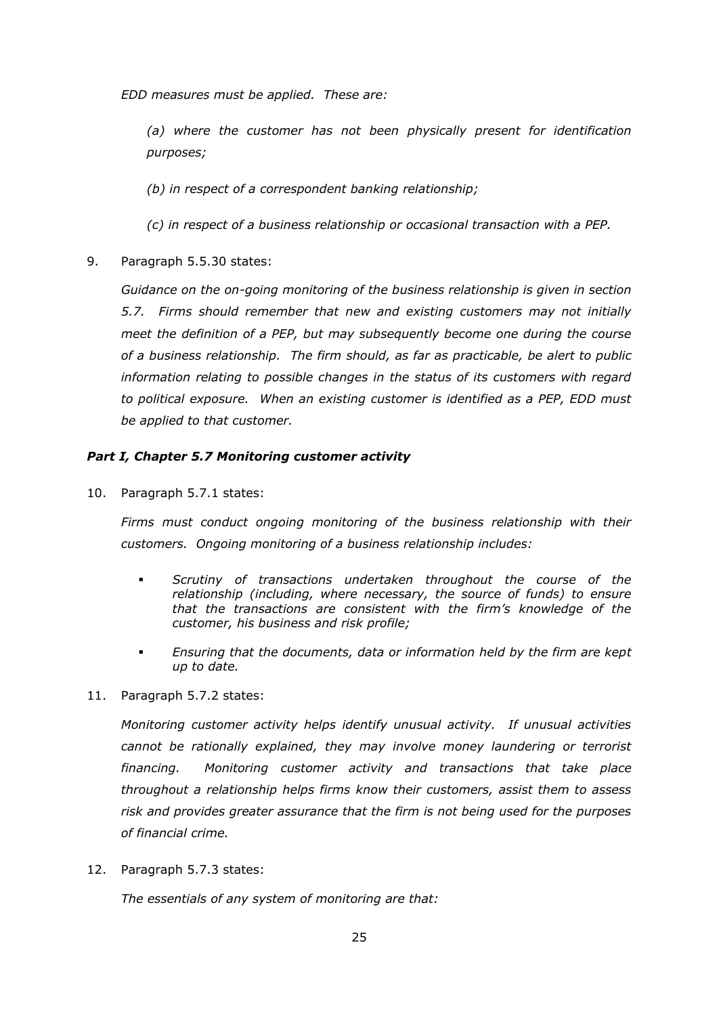*EDD measures must be applied. These are:*

*(a) where the customer has not been physically present for identification purposes;*

*(b) in respect of a correspondent banking relationship;*

*(c) in respect of a business relationship or occasional transaction with a PEP.*

9. Paragraph 5.5.30 states:

*Guidance on the on-going monitoring of the business relationship is given in section 5.7. Firms should remember that new and existing customers may not initially meet the definition of a PEP, but may subsequently become one during the course of a business relationship. The firm should, as far as practicable, be alert to public information relating to possible changes in the status of its customers with regard to political exposure. When an existing customer is identified as a PEP, EDD must be applied to that customer.*

## *Part I, Chapter 5.7 Monitoring customer activity*

10. Paragraph 5.7.1 states:

*Firms must conduct ongoing monitoring of the business relationship with their customers. Ongoing monitoring of a business relationship includes:*

- *Scrutiny of transactions undertaken throughout the course of the relationship (including, where necessary, the source of funds) to ensure that the transactions are consistent with the firm's knowledge of the customer, his business and risk profile;*
- *Ensuring that the documents, data or information held by the firm are kept up to date.*
- 11. Paragraph 5.7.2 states:

*Monitoring customer activity helps identify unusual activity. If unusual activities cannot be rationally explained, they may involve money laundering or terrorist financing. Monitoring customer activity and transactions that take place throughout a relationship helps firms know their customers, assist them to assess risk and provides greater assurance that the firm is not being used for the purposes of financial crime.*

12. Paragraph 5.7.3 states:

*The essentials of any system of monitoring are that:*